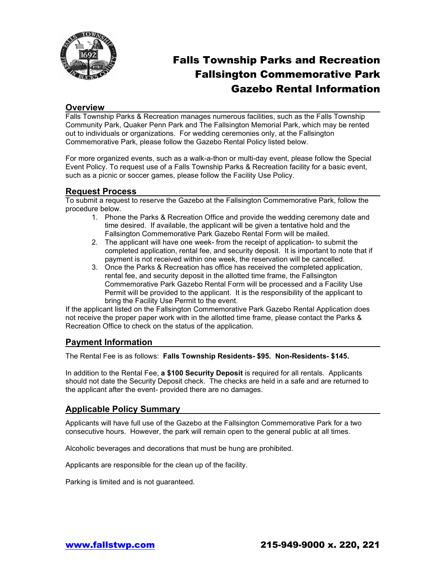

## Falls Township Parks and Recreation Fallsington Commemorative Park Gazebo Rental Information

#### **Overview**

Falls Township Parks & Recreation manages numerous facilities, such as the Falls Township Community Park, Quaker Penn Park and The Fallsington Memorial Park, which may be rented out to individuals or organizations. For wedding ceremonies only, at the Fallsington Commemorative Park, please follow the Gazebo Rental Policy listed below.

For more organized events, such as a walk-a-thon or multi-day event, please follow the Special Event Policy. To request use of a Falls Township Parks & Recreation facility for a basic event, such as a picnic or soccer games, please follow the Facility Use Policy.

#### **Request Process**

To submit a request to reserve the Gazebo at the Fallsington Commemorative Park, follow the procedure below.

- 1. Phone the Parks & Recreation Office and provide the wedding ceremony date and time desired. If available, the applicant will be given a tentative hold and the Fallsington Commemorative Park Gazebo Rental Form will be mailed.
- 2. The applicant will have one week- from the receipt of application- to submit the completed application, rental fee, and security deposit. It is important to note that if payment is not received within one week, the reservation will be cancelled.
- 3. Once the Parks & Recreation has office has received the completed application, rental fee, and security deposit in the allotted time frame, the Fallsington Commemorative Park Gazebo Rental Form will be processed and a Facility Use Permit will be provided to the applicant. It is the responsibility of the applicant to bring the Facility Use Permit to the event.

If the applicant listed on the Fallsington Commemorative Park Gazebo Rental Application does not receive the proper paper work with in the allotted time frame, please contact the Parks & Recreation Office to check on the status of the application.

#### **Payment Information**

The Rental Fee is as follows: **Falls Township Residents- \$95. Non-Residents- \$145.**

In addition to the Rental Fee, **a \$100 Security Deposit** is required for all rentals. Applicants should not date the Security Deposit check. The checks are held in a safe and are returned to the applicant after the event- provided there are no damages.

## **Applicable Policy Summary**

Applicants will have full use of the Gazebo at the Fallsington Commemorative Park for a two consecutive hours. However, the park will remain open to the general public at all times.

Alcoholic beverages and decorations that must be hung are prohibited.

Applicants are responsible for the clean up of the facility.

Parking is limited and is not guaranteed.